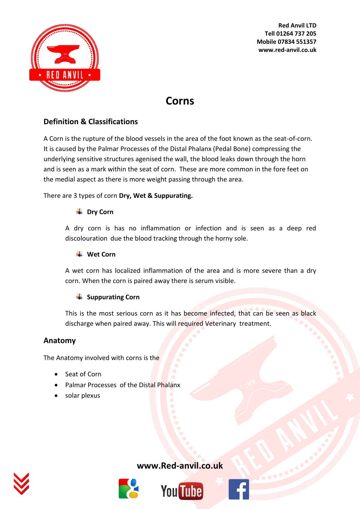

**Red Anvil LTD Tell 01264 737 205 Mobile 07834 551357 www.red-anvil.co.uk**

# **Corns**

# **Definition & Classifications**

A Corn is the rupture of the blood vessels in the area of the foot known as the seat-of-corn. It is caused by the Palmar Processes of the Distal Phalanx (Pedal Bone) compressing the underlying sensitive structures agenised the wall, the blood leaks down through the horn and is seen as a mark within the seat of corn. These are more common in the fore feet on the medial aspect as there is more weight passing through the area.

#### There are 3 types of corn **Dry, Wet & Suppurating.**

#### **↓** Dry Corn

A dry corn is has no inflammation or infection and is seen as a deep red discolouration due the blood tracking through the horny sole.

#### **Wet Corn**

A wet corn has localized inflammation of the area and is more severe than a dry corn. When the corn is paired away there is serum visible.

#### **Suppurating Corn**

This is the most serious corn as it has become infected, that can be seen as black discharge when paired away. This will required Veterinary treatment.

#### **Anatomy**

The Anatomy involved with corns is the

- Seat of Corn
- Palmar Processes of the Distal Phalanx
- solar plexus



# **[www.Red-anvil.co.uk](http://www.red-anvil.co.uk/)**





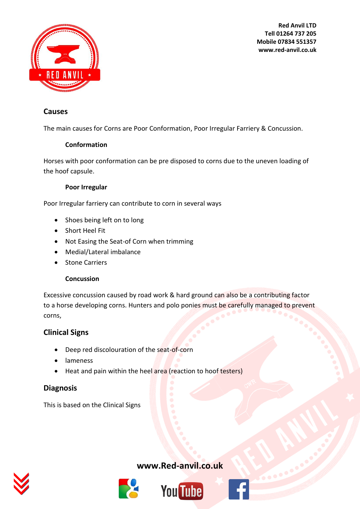

**Red Anvil LTD Tell 01264 737 205 Mobile 07834 551357 www.red-anvil.co.uk**

# **Causes**

The main causes for Corns are Poor Conformation, Poor Irregular Farriery & Concussion.

#### **Conformation**

Horses with poor conformation can be pre disposed to corns due to the uneven loading of the hoof capsule.

#### **Poor Irregular**

Poor Irregular farriery can contribute to corn in several ways

- Shoes being left on to long
- Short Heel Fit
- Not Easing the Seat-of Corn when trimming
- Medial/Lateral imbalance
- Stone Carriers

#### **Concussion**

Excessive concussion caused by road work & hard ground can also be a contributing factor to a horse developing corns. Hunters and polo ponies must be carefully managed to prevent corns,

# **Clinical Signs**

- Deep red discolouration of the seat-of-corn
- lameness
- Heat and pain within the heel area (reaction to hoof testers)

# **Diagnosis**

This is based on the Clinical Signs



# **[www.Red-anvil.co.uk](http://www.red-anvil.co.uk/)**